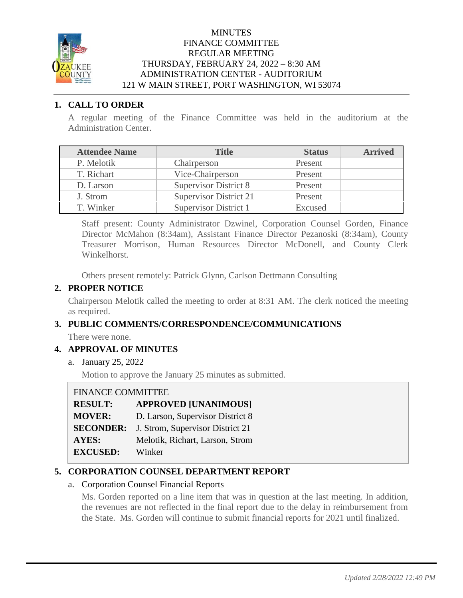

### MINUTES FINANCE COMMITTEE REGULAR MEETING THURSDAY, FEBRUARY 24, 2022 – 8:30 AM ADMINISTRATION CENTER - AUDITORIUM 121 W MAIN STREET, PORT WASHINGTON, WI 53074

## **1. CALL TO ORDER**

A regular meeting of the Finance Committee was held in the auditorium at the Administration Center.

| <b>Attendee Name</b> | <b>Title</b>                  | <b>Status</b> | <b>Arrived</b> |
|----------------------|-------------------------------|---------------|----------------|
| P. Melotik           | Chairperson                   | Present       |                |
| T. Richart           | Vice-Chairperson              | Present       |                |
| D. Larson            | <b>Supervisor District 8</b>  | Present       |                |
| J. Strom             | <b>Supervisor District 21</b> | Present       |                |
| T. Winker            | Supervisor District 1         | Excused       |                |

Staff present: County Administrator Dzwinel, Corporation Counsel Gorden, Finance Director McMahon (8:34am), Assistant Finance Director Pezanoski (8:34am), County Treasurer Morrison, Human Resources Director McDonell, and County Clerk Winkelhorst.

Others present remotely: Patrick Glynn, Carlson Dettmann Consulting

## **2. PROPER NOTICE**

Chairperson Melotik called the meeting to order at 8:31 AM. The clerk noticed the meeting as required.

# **3. PUBLIC COMMENTS/CORRESPONDENCE/COMMUNICATIONS**

There were none.

# **4. APPROVAL OF MINUTES**

a. January 25, 2022

Motion to approve the January 25 minutes as submitted.

| <b>FINANCE COMMITTEE</b> |                                  |
|--------------------------|----------------------------------|
| <b>RESULT:</b>           | <b>APPROVED [UNANIMOUS]</b>      |
| <b>MOVER:</b>            | D. Larson, Supervisor District 8 |
| <b>SECONDER:</b>         | J. Strom, Supervisor District 21 |
| <b>AYES:</b>             | Melotik, Richart, Larson, Strom  |
| <b>EXCUSED:</b>          | Winker                           |

# **5. CORPORATION COUNSEL DEPARTMENT REPORT**

### a. Corporation Counsel Financial Reports

Ms. Gorden reported on a line item that was in question at the last meeting. In addition, the revenues are not reflected in the final report due to the delay in reimbursement from the State. Ms. Gorden will continue to submit financial reports for 2021 until finalized.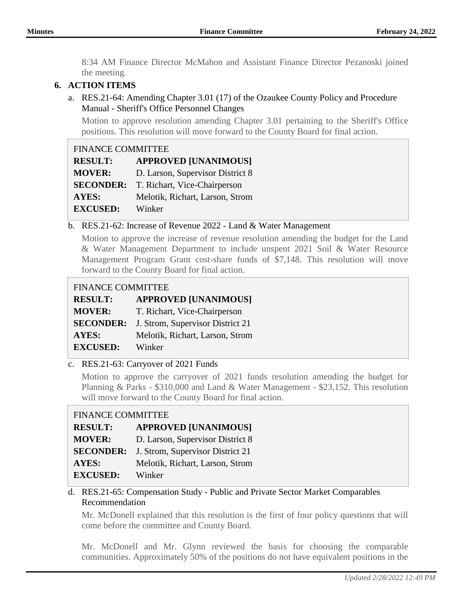8:34 AM Finance Director McMahon and Assistant Finance Director Pezanoski joined the meeting.

# **6. ACTION ITEMS**

a. RES.21-64: Amending Chapter 3.01 (17) of the Ozaukee County Policy and Procedure Manual - Sheriff's Office Personnel Changes

Motion to approve resolution amending Chapter 3.01 pertaining to the Sheriff's Office positions. This resolution will move forward to the County Board for final action.

| <b>FINANCE COMMITTEE</b> |                                  |  |
|--------------------------|----------------------------------|--|
| <b>RESULT:</b>           | <b>APPROVED [UNANIMOUS]</b>      |  |
| <b>MOVER:</b>            | D. Larson, Supervisor District 8 |  |
| <b>SECONDER:</b>         | T. Richart, Vice-Chairperson     |  |
| <b>AYES:</b>             | Melotik, Richart, Larson, Strom  |  |
| <b>EXCUSED:</b>          | Winker                           |  |

### b. RES.21-62: Increase of Revenue 2022 - Land & Water Management

Motion to approve the increase of revenue resolution amending the budget for the Land & Water Management Department to include unspent 2021 Soil & Water Resource Management Program Grant cost-share funds of \$7,148. This resolution will move forward to the County Board for final action.

#### FINANCE COMMITTEE

| <b>RESULT:</b>   | <b>APPROVED [UNANIMOUS]</b>      |
|------------------|----------------------------------|
| <b>MOVER:</b>    | T. Richart, Vice-Chairperson     |
| <b>SECONDER:</b> | J. Strom, Supervisor District 21 |
| <b>AYES:</b>     | Melotik, Richart, Larson, Strom  |
| <b>EXCUSED:</b>  | Winker                           |

### c. RES.21-63: Carryover of 2021 Funds

Motion to approve the carryover of 2021 funds resolution amending the budget for Planning & Parks - \$310,000 and Land & Water Management - \$23,152. This resolution will move forward to the County Board for final action.

### FINANCE COMMITTEE

| <b>RESULT:</b>   | <b>APPROVED [UNANIMOUS]</b>      |
|------------------|----------------------------------|
| <b>MOVER:</b>    | D. Larson, Supervisor District 8 |
| <b>SECONDER:</b> | J. Strom, Supervisor District 21 |
| AYES:            | Melotik, Richart, Larson, Strom  |
| <b>EXCUSED:</b>  | Winker                           |

### d. RES.21-65: Compensation Study - Public and Private Sector Market Comparables Recommendation

Mr. McDonell explained that this resolution is the first of four policy questions that will come before the committee and County Board.

Mr. McDonell and Mr. Glynn reviewed the basis for choosing the comparable communities. Approximately 50% of the positions do not have equivalent positions in the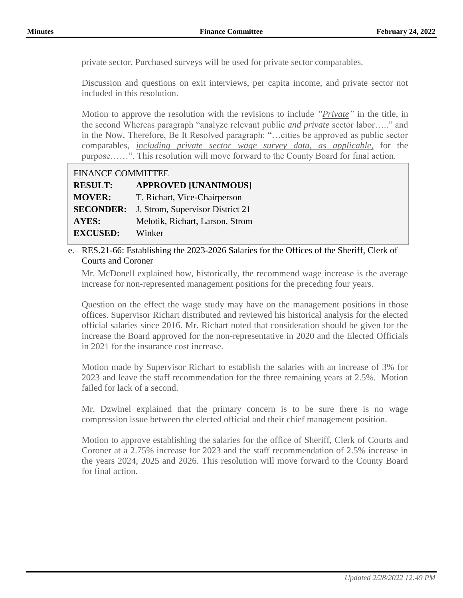private sector. Purchased surveys will be used for private sector comparables.

Discussion and questions on exit interviews, per capita income, and private sector not included in this resolution.

Motion to approve the resolution with the revisions to include *"Private"* in the title, in the second Whereas paragraph "analyze relevant public *and private* sector labor….." and in the Now, Therefore, Be It Resolved paragraph: "…cities be approved as public sector comparables, *including private sector wage survey data, as applicable,* for the purpose……". This resolution will move forward to the County Board for final action.

| <b>FINANCE COMMITTEE</b> |                                  |
|--------------------------|----------------------------------|
| <b>RESULT:</b>           | <b>APPROVED [UNANIMOUS]</b>      |
| <b>MOVER:</b>            | T. Richart, Vice-Chairperson     |
| <b>SECONDER:</b>         | J. Strom, Supervisor District 21 |
| <b>AYES:</b>             | Melotik, Richart, Larson, Strom  |
| <b>EXCUSED:</b>          | Winker                           |

## e. RES.21-66: Establishing the 2023-2026 Salaries for the Offices of the Sheriff, Clerk of Courts and Coroner

Mr. McDonell explained how, historically, the recommend wage increase is the average increase for non-represented management positions for the preceding four years.

Question on the effect the wage study may have on the management positions in those offices. Supervisor Richart distributed and reviewed his historical analysis for the elected official salaries since 2016. Mr. Richart noted that consideration should be given for the increase the Board approved for the non-representative in 2020 and the Elected Officials in 2021 for the insurance cost increase.

Motion made by Supervisor Richart to establish the salaries with an increase of 3% for 2023 and leave the staff recommendation for the three remaining years at 2.5%. Motion failed for lack of a second.

Mr. Dzwinel explained that the primary concern is to be sure there is no wage compression issue between the elected official and their chief management position.

Motion to approve establishing the salaries for the office of Sheriff, Clerk of Courts and Coroner at a 2.75% increase for 2023 and the staff recommendation of 2.5% increase in the years 2024, 2025 and 2026. This resolution will move forward to the County Board for final action.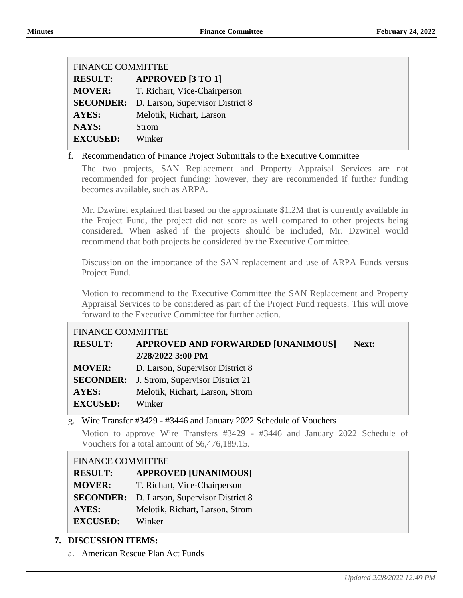| <b>FINANCE COMMITTEE</b> |                                                   |  |
|--------------------------|---------------------------------------------------|--|
| <b>RESULT:</b>           | <b>APPROVED [3 TO 1]</b>                          |  |
| <b>MOVER:</b>            | T. Richart, Vice-Chairperson                      |  |
|                          | <b>SECONDER:</b> D. Larson, Supervisor District 8 |  |
| AYES:                    | Melotik, Richart, Larson                          |  |
| NAYS:                    | Strom                                             |  |
| <b>EXCUSED:</b>          | Winker                                            |  |

#### f. Recommendation of Finance Project Submittals to the Executive Committee

The two projects, SAN Replacement and Property Appraisal Services are not recommended for project funding; however, they are recommended if further funding becomes available, such as ARPA.

Mr. Dzwinel explained that based on the approximate \$1.2M that is currently available in the Project Fund, the project did not score as well compared to other projects being considered. When asked if the projects should be included, Mr. Dzwinel would recommend that both projects be considered by the Executive Committee.

Discussion on the importance of the SAN replacement and use of ARPA Funds versus Project Fund.

Motion to recommend to the Executive Committee the SAN Replacement and Property Appraisal Services to be considered as part of the Project Fund requests. This will move forward to the Executive Committee for further action.

### FINANCE COMMITTEE

| <b>RESULT:</b>  | APPROVED AND FORWARDED [UNANIMOUS]                | Next: |
|-----------------|---------------------------------------------------|-------|
|                 | 2/28/2022 3:00 PM                                 |       |
| <b>MOVER:</b>   | D. Larson, Supervisor District 8                  |       |
|                 | <b>SECONDER:</b> J. Strom, Supervisor District 21 |       |
| <b>AYES:</b>    | Melotik, Richart, Larson, Strom                   |       |
| <b>EXCUSED:</b> | Winker                                            |       |
|                 |                                                   |       |

### g. Wire Transfer #3429 - #3446 and January 2022 Schedule of Vouchers

Motion to approve Wire Transfers #3429 - #3446 and January 2022 Schedule of Vouchers for a total amount of \$6,476,189.15.

#### FINANCE COMMITTEE

| <b>RESULT:</b>  | <b>APPROVED [UNANIMOUS]</b>                       |
|-----------------|---------------------------------------------------|
| <b>MOVER:</b>   | T. Richart, Vice-Chairperson                      |
|                 | <b>SECONDER:</b> D. Larson, Supervisor District 8 |
| <b>AYES:</b>    | Melotik, Richart, Larson, Strom                   |
| <b>EXCUSED:</b> | Winker                                            |

### **7. DISCUSSION ITEMS:**

a. American Rescue Plan Act Funds